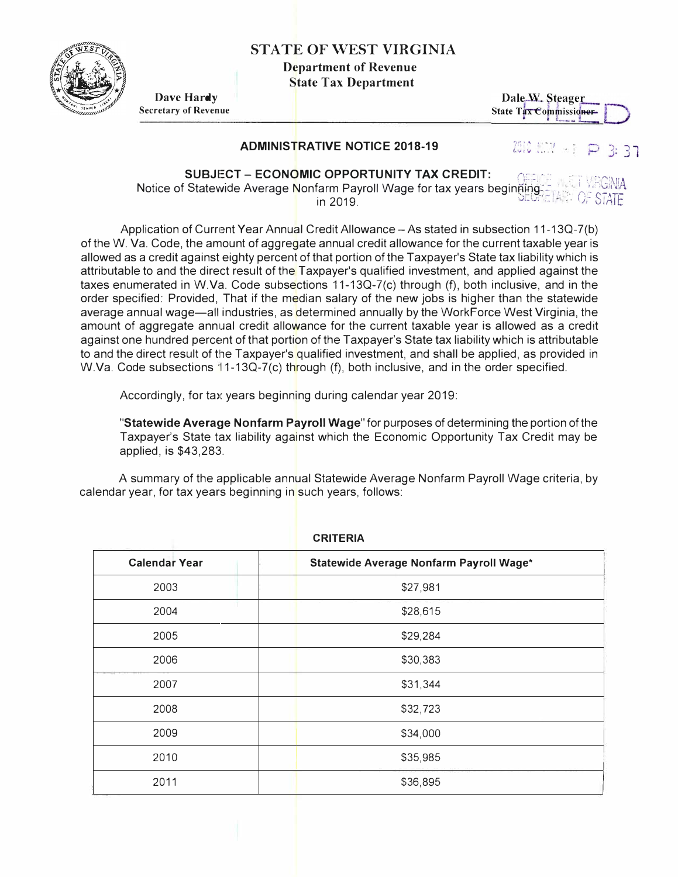

## **STATE OF WEST VIRGINIA**

**Department of Revenue State Tax Department** 

Dave Hardy **Secretary of Revenue** 

## Dale W. Steager State Tax Commissioner

## **ADMINISTRATIVE NOTICE 2018-19**

2010 L. Martin D  $3:37$ 

**SUBJECT - ECONOMIC OPPORTUNITY TAX CREDIT:** Notice of Statewide Average Nonfarm Payroll Wage for tax years beginging in 2019

Application of Current Year Annual Credit Allowance - As stated in subsection 11-13Q-7(b) of the W. Va. Code, the amount of aggregate annual credit allowance for the current taxable year is allowed as a credit against eighty percent of that portion of the Taxpayer's State tax liability which is attributable to and the direct result of the Taxpayer's qualified investment, and applied against the taxes enumerated in W.Va. Code subsections 11-13Q-7(c) through (f), both inclusive, and in the order specified: Provided, That if the median salary of the new jobs is higher than the statewide average annual wage—all industries, as determined annually by the WorkForce West Virginia, the amount of aggregate annual credit allowance for the current taxable year is allowed as a credit against one hundred percent of that portion of the Taxpayer's State tax liability which is attributable to and the direct result of the Taxpayer's qualified investment, and shall be applied, as provided in W.Va. Code subsections 11-13Q-7(c) through (f), both inclusive, and in the order specified.

Accordingly, for tax years beginning during calendar year 2019:

"Statewide Average Nonfarm Payroll Wage" for purposes of determining the portion of the Taxpayer's State tax liability against which the Economic Opportunity Tax Credit may be applied, is \$43,283.

A summary of the applicable annual Statewide Average Nonfarm Payroll Wage criteria, by calendar year, for tax years beginning in such years, follows:

| <b>URILERIA</b>      |                                         |
|----------------------|-----------------------------------------|
| <b>Calendar Year</b> | Statewide Average Nonfarm Payroll Wage* |
| 2003                 | \$27,981                                |
| 2004                 | \$28,615                                |
| 2005                 | \$29,284                                |
| 2006                 | \$30,383                                |
| 2007                 | \$31,344                                |
| 2008                 | \$32,723                                |
| 2009                 | \$34,000                                |
| 2010                 | \$35,985                                |
| 2011                 | \$36,895                                |